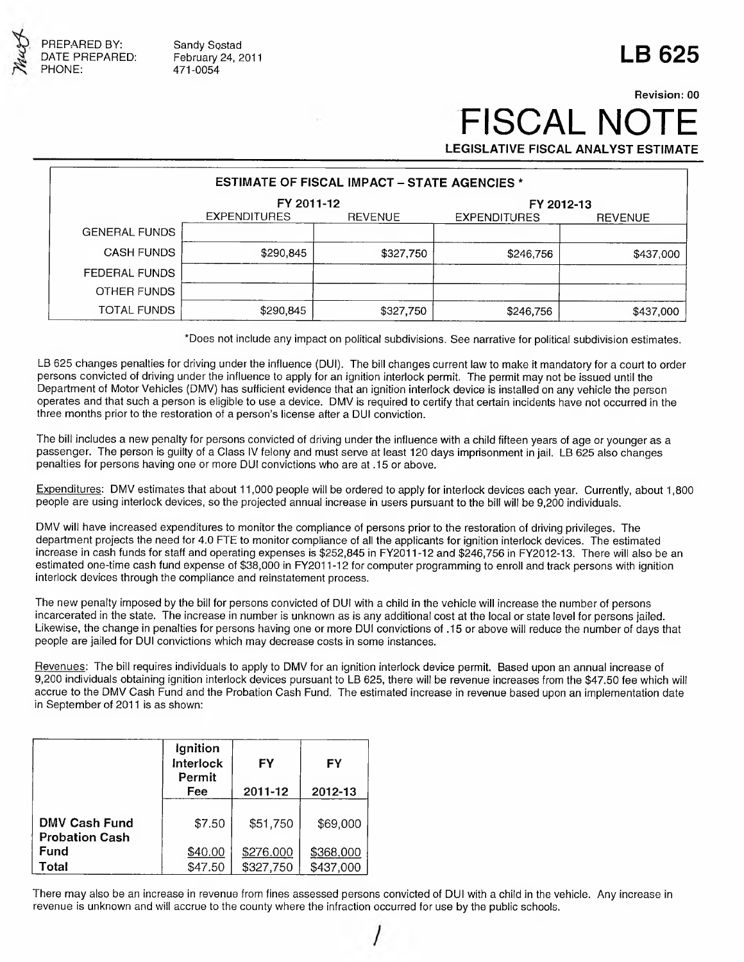

Sandy Sostad February 24, 2011 471-0054

# **LB 625**

## **Revision: 00 FISCAL NOT LEGISLATIVE FISCAL ANALYST ESTIMATE**

**ESTIMATE OF FISCAL IMPACT - STATE AGENCIES \* FY 2011-12 FY 2012-13** EXPENDITURES REVENUE EXPENDITURES REVENUE GENERAL FUNDS CASH FUNDS| \$290,845| \$327,750| \$246,756| \$437,000 FEDERAL FUNDS OTHER FUNDS TOTAL FUNDS | \$290,845 | \$327,750 | \$246,756 | \$437,000

\*Does not include any impact on political subdivisions. See narrative for political subdivision estimates.

LB 625 changes penalties for driving under the influence (DUI). The bill changes current law to make it mandatory for a court to order persons convicted of driving under the influence to apply for an ignition interlock permit. The permit may not be issued until the Department of Motor Vehicles (DMV) has sufficient evidence that an ignition interlock device is installed on any vehicle the person operates and that such a person is eligible to use a device. DMV is required to certify that certain incidents have not occurred in the three months prior to the restoration of a person's license after a DUI conviction.

The bill includes a new penalty for persons convicted of driving under the influence with a child fifteen years of age or younger as a passenger. The person is guilty of a Class IV felony and must serve at least 120 days imprisonment in jail. LB 625 also changes penalties for persons having one or more DUI convictions who are at .15 or above.

Expenditures: DMV estimates that about 11,000 people will be ordered to apply for interlock devices each year. Currently, about 1,800 people are using interlock devices, so the projected annual increase in users pursuant to the bill will be 9,200 individuals.

DMV will have increased expenditures to monitor the compliance of persons prior to the restoration of driving privileges. The department projects the need for 4.0 FTE to monitor compliance of all the applicants for ignition interlock devices. The estimated increase in cash funds for staff and operating expenses is \$252,845 in FY2011-12 and \$246,756 in FY2012-13. There will also be an estimated one-time cash fund expense of \$38,000 in FY2011-12 for computer programming to enroll and track persons with ignition interlock devices through the compliance and reinstatement process.

The new penalty imposed by the bill for persons convicted of DUI with a child in the vehicle will increase the number of persons incarcerated in the state. The increase in number is unknown as is any additional cost at the local or state level for persons jailed. Likewise, the change in penalties for persons having one or more DUI convictions of .15 or above will reduce the number of days that people are jailed for DUI convictions which may decrease costs in some instances.

Revenues: The bill requires individuals to apply to DMV for an ignition interlock device permit. Based upon an annual increase of 9,200 individuals obtaining ignition interlock devices pursuant to LB 625, there will be revenue increases from the \$47.50 fee which will accrue to the DMV Cash Fund and the Probation Cash Fund. The estimated increase in revenue based upon an implementation date in September of 2011 is as shown:

|                                               | Ignition<br>Interlock<br>Permit<br>Fee | FΥ<br>2011-12          | FY<br>2012-13          |  |
|-----------------------------------------------|----------------------------------------|------------------------|------------------------|--|
| <b>DMV Cash Fund</b><br><b>Probation Cash</b> | \$7.50                                 | \$51,750               | \$69,000               |  |
| <b>Fund</b><br>Total                          | \$40.00<br>\$47.50                     | \$276,000<br>\$327,750 | \$368,000<br>\$437,000 |  |

There may also be an increase in revenue from fines assessed persons convicted of DUI with a child in the vehicle. Any increase in revenue is unknown and will accrue to the county where the infraction occurred for use by the public schools.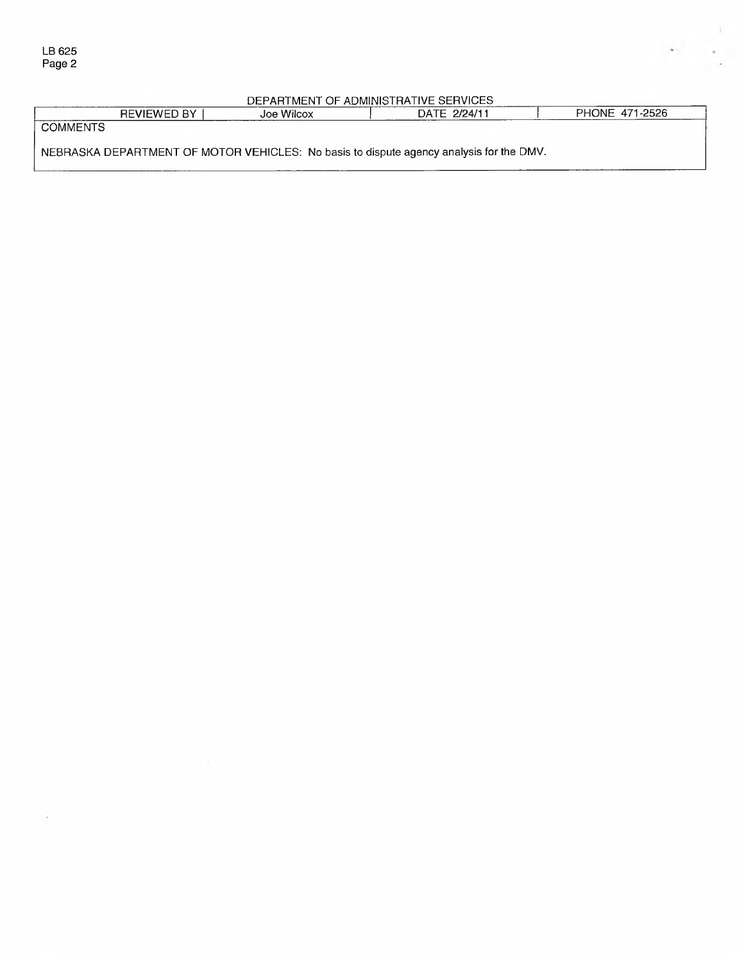#### DEPARTMENT OF ADMINISTRATIVE SERVICES

|                                                                                         | <b>REVIEWED BY</b> | Joe Wilcox | DATE 2/24/11 |  | PHONE 471-2526 |  |
|-----------------------------------------------------------------------------------------|--------------------|------------|--------------|--|----------------|--|
| <b>COMMENTS</b>                                                                         |                    |            |              |  |                |  |
| NEBRASKA DEPARTMENT OF MOTOR VEHICLES: No basis to dispute agency analysis for the DMV. |                    |            |              |  |                |  |